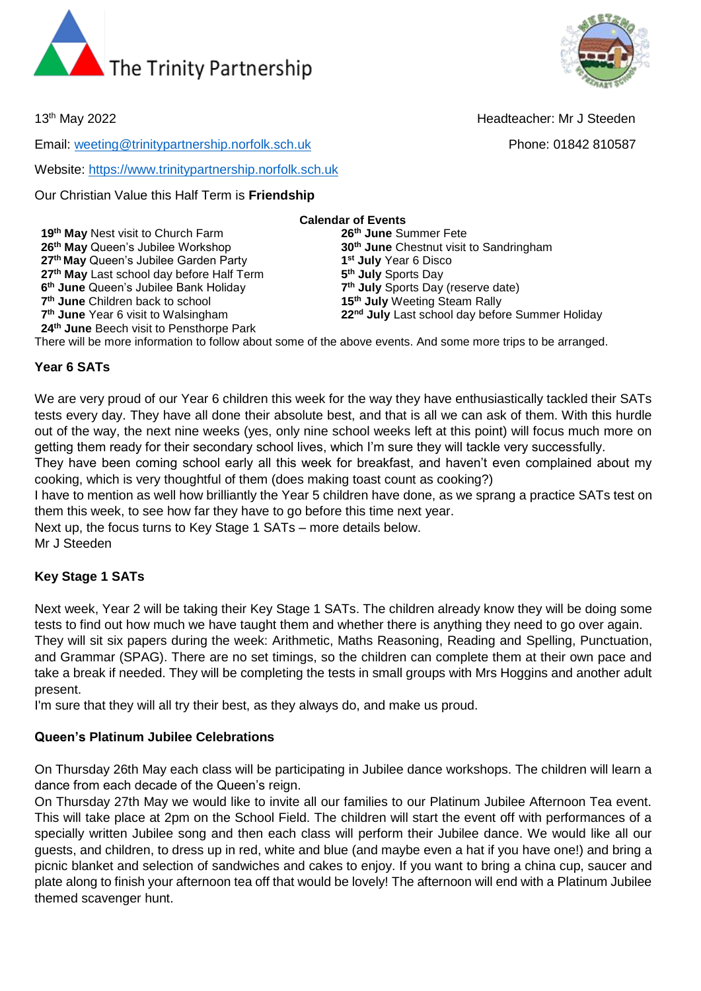



13th May 2022 Headteacher: Mr J Steeden

Email: [weeting@trinitypartnership.norfolk.sch.uk](mailto:weeting@trinitypartnership.norfolk.sch.uk) Phone: 01842 810587

Website: [https://www.trinitypartnership.norfolk.sch.uk](https://www.trinitypartnership.norfolk.sch.uk/)

Our Christian Value this Half Term is **Friendship**

**Calendar of Events 19th May** Nest visit to Church Farm **26th June** Summer Fete **26th May** Queen's Jubilee Workshop **30th June** Chestnut visit to Sandringham **27th May** Queen's Jubilee Garden Party **1 st July** Year 6 Disco **27th May** Last school day before Half Term **5 th July** Sports Day **6 th June** Queen's Jubilee Bank Holiday **7 th July** Sports Day (reserve date) 7<sup>th</sup> June Children back to school **15<sup>th</sup> July** Weeting Steam Rally 7<sup>th</sup> June Year 6 visit to Walsingham 22<sup>nd</sup> July Last school day before Summer Holiday **24th June** Beech visit to Pensthorpe Park

There will be more information to follow about some of the above events. And some more trips to be arranged.

#### **Year 6 SATs**

We are very proud of our Year 6 children this week for the way they have enthusiastically tackled their SATs tests every day. They have all done their absolute best, and that is all we can ask of them. With this hurdle out of the way, the next nine weeks (yes, only nine school weeks left at this point) will focus much more on getting them ready for their secondary school lives, which I'm sure they will tackle very successfully.

They have been coming school early all this week for breakfast, and haven't even complained about my cooking, which is very thoughtful of them (does making toast count as cooking?)

I have to mention as well how brilliantly the Year 5 children have done, as we sprang a practice SATs test on them this week, to see how far they have to go before this time next year.

Next up, the focus turns to Key Stage 1 SATs – more details below.

Mr J Steeden

## **Key Stage 1 SATs**

Next week, Year 2 will be taking their Key Stage 1 SATs. The children already know they will be doing some tests to find out how much we have taught them and whether there is anything they need to go over again. They will sit six papers during the week: Arithmetic, Maths Reasoning, Reading and Spelling, Punctuation, and Grammar (SPAG). There are no set timings, so the children can complete them at their own pace and take a break if needed. They will be completing the tests in small groups with Mrs Hoggins and another adult present.

I'm sure that they will all try their best, as they always do, and make us proud.

# **Queen's Platinum Jubilee Celebrations**

On Thursday 26th May each class will be participating in Jubilee dance workshops. The children will learn a dance from each decade of the Queen's reign.

On Thursday 27th May we would like to invite all our families to our Platinum Jubilee Afternoon Tea event. This will take place at 2pm on the School Field. The children will start the event off with performances of a specially written Jubilee song and then each class will perform their Jubilee dance. We would like all our guests, and children, to dress up in red, white and blue (and maybe even a hat if you have one!) and bring a picnic blanket and selection of sandwiches and cakes to enjoy. If you want to bring a china cup, saucer and plate along to finish your afternoon tea off that would be lovely! The afternoon will end with a Platinum Jubilee themed scavenger hunt.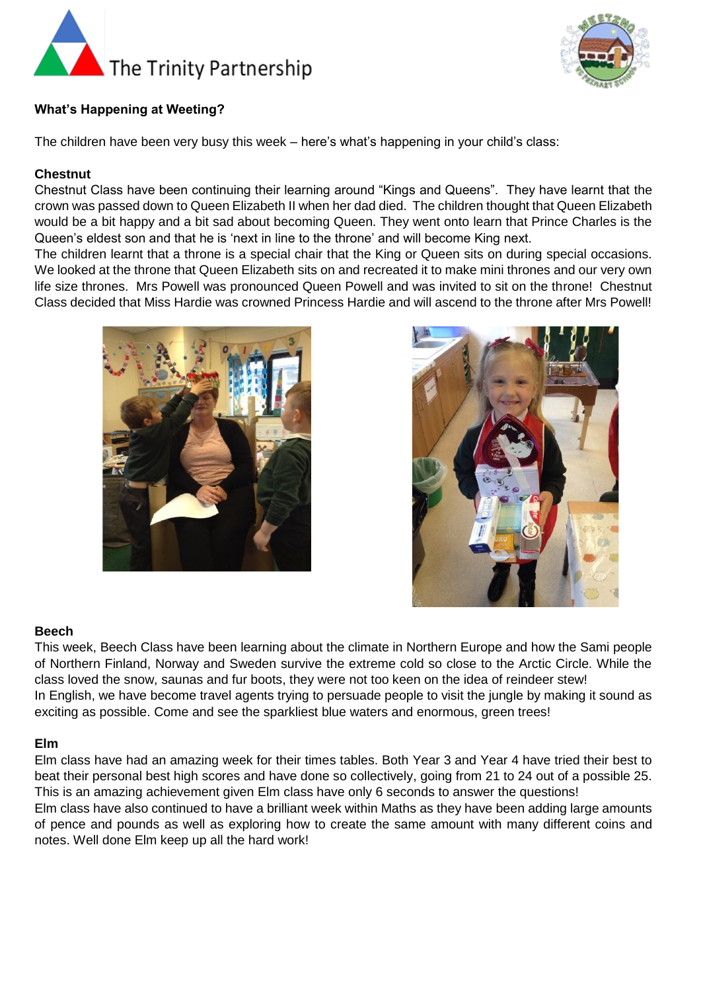



### **What's Happening at Weeting?**

The children have been very busy this week – here's what's happening in your child's class:

#### **Chestnut**

Chestnut Class have been continuing their learning around "Kings and Queens". They have learnt that the crown was passed down to Queen Elizabeth II when her dad died. The children thought that Queen Elizabeth would be a bit happy and a bit sad about becoming Queen. They went onto learn that Prince Charles is the Queen's eldest son and that he is 'next in line to the throne' and will become King next.

The children learnt that a throne is a special chair that the King or Queen sits on during special occasions. We looked at the throne that Queen Elizabeth sits on and recreated it to make mini thrones and our very own life size thrones. Mrs Powell was pronounced Queen Powell and was invited to sit on the throne! Chestnut Class decided that Miss Hardie was crowned Princess Hardie and will ascend to the throne after Mrs Powell!





#### **Beech**

This week, Beech Class have been learning about the climate in Northern Europe and how the Sami people of Northern Finland, Norway and Sweden survive the extreme cold so close to the Arctic Circle. While the class loved the snow, saunas and fur boots, they were not too keen on the idea of reindeer stew! In English, we have become travel agents trying to persuade people to visit the jungle by making it sound as exciting as possible. Come and see the sparkliest blue waters and enormous, green trees!

#### **Elm**

Elm class have had an amazing week for their times tables. Both Year 3 and Year 4 have tried their best to beat their personal best high scores and have done so collectively, going from 21 to 24 out of a possible 25. This is an amazing achievement given Elm class have only 6 seconds to answer the questions! Elm class have also continued to have a brilliant week within Maths as they have been adding large amounts of pence and pounds as well as exploring how to create the same amount with many different coins and notes. Well done Elm keep up all the hard work!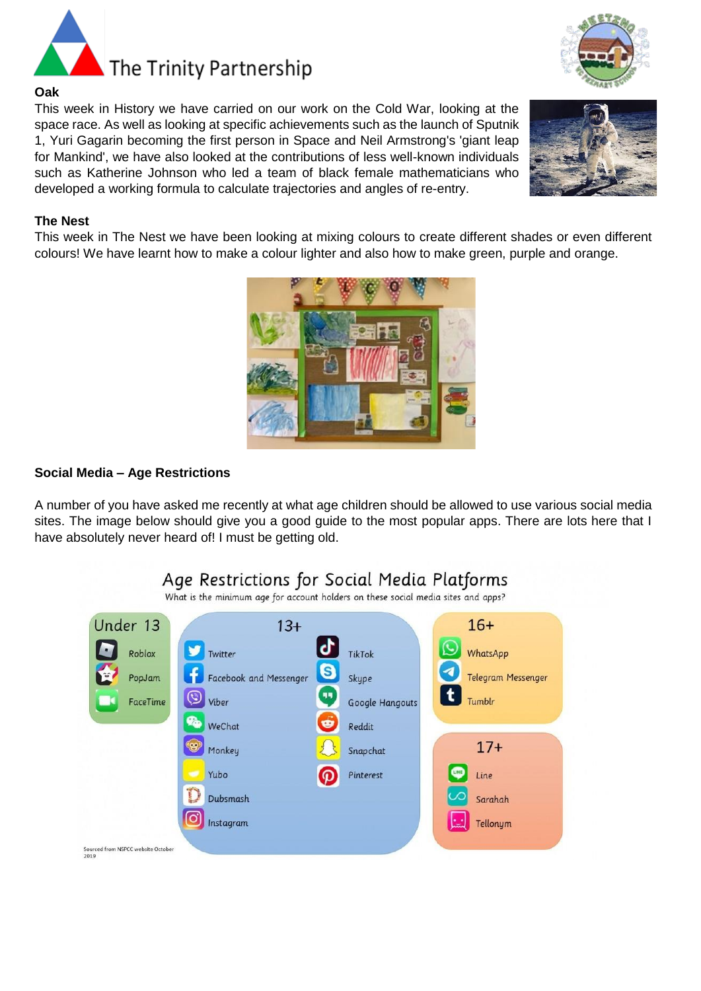

#### **Oak**

This week in History we have carried on our work on the Cold War, looking at the space race. As well as looking at specific achievements such as the launch of Sputnik 1, Yuri Gagarin becoming the first person in Space and Neil Armstrong's 'giant leap for Mankind', we have also looked at the contributions of less well-known individuals such as Katherine Johnson who led a team of black female mathematicians who developed a working formula to calculate trajectories and angles of re-entry.

#### **The Nest**

This week in The Nest we have been looking at mixing colours to create different shades or even different colours! We have learnt how to make a colour lighter and also how to make green, purple and orange.



A number of you have asked me recently at what age children should be allowed to use various social media sites. The image below should give you a good guide to the most popular apps. There are lots here that I have absolutely never heard of! I must be getting old.

# Age Restrictions for Social Media Platforms

What is the minimum age for account holders on these social media sites and apps?







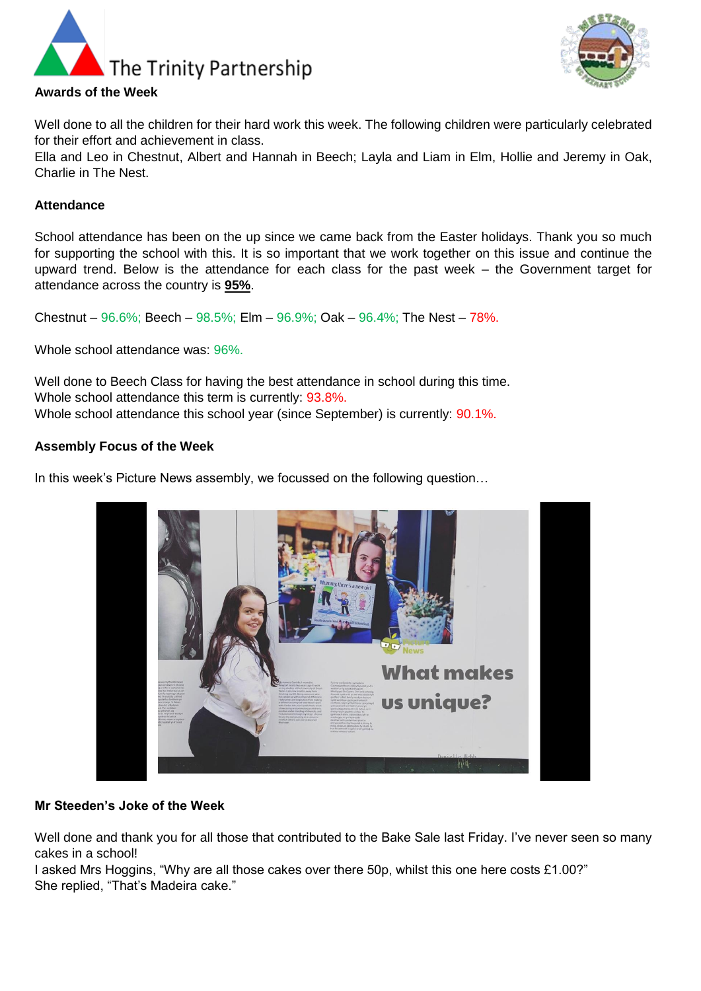



Well done to all the children for their hard work this week. The following children were particularly celebrated for their effort and achievement in class.

Ella and Leo in Chestnut, Albert and Hannah in Beech; Layla and Liam in Elm, Hollie and Jeremy in Oak, Charlie in The Nest.

#### **Attendance**

School attendance has been on the up since we came back from the Easter holidays. Thank you so much for supporting the school with this. It is so important that we work together on this issue and continue the upward trend. Below is the attendance for each class for the past week – the Government target for attendance across the country is **95%**.

Chestnut –  $96.6\%$ ; Beech –  $98.5\%$ ; Elm –  $96.9\%$ ; Oak –  $96.4\%$ ; The Nest – 78%.

Whole school attendance was: 96%.

Well done to Beech Class for having the best attendance in school during this time. Whole school attendance this term is currently: 93.8%. Whole school attendance this school year (since September) is currently:  $90.1\%$ .

#### **Assembly Focus of the Week**

In this week's Picture News assembly, we focussed on the following question…



#### **Mr Steeden's Joke of the Week**

Well done and thank you for all those that contributed to the Bake Sale last Friday. I've never seen so many cakes in a school!

I asked Mrs Hoggins, "Why are all those cakes over there 50p, whilst this one here costs £1.00?" She replied, "That's Madeira cake."